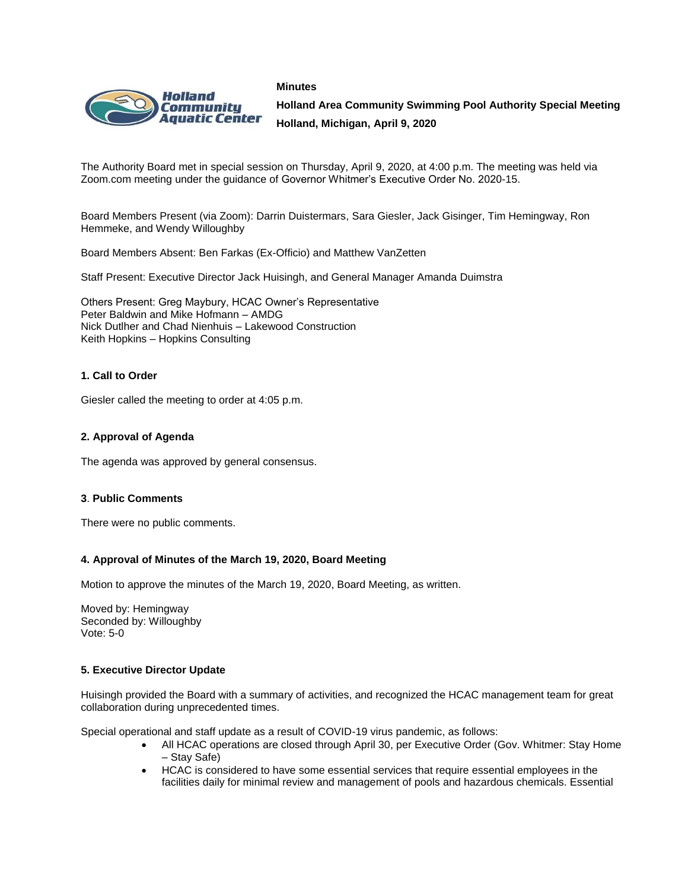**Minutes**



**Holland Area Community Swimming Pool Authority Special Meeting Holland, Michigan, April 9, 2020**

The Authority Board met in special session on Thursday, April 9, 2020, at 4:00 p.m. The meeting was held via Zoom.com meeting under the guidance of Governor Whitmer's Executive Order No. 2020-15.

Board Members Present (via Zoom): Darrin Duistermars, Sara Giesler, Jack Gisinger, Tim Hemingway, Ron Hemmeke, and Wendy Willoughby

Board Members Absent: Ben Farkas (Ex-Officio) and Matthew VanZetten

Staff Present: Executive Director Jack Huisingh, and General Manager Amanda Duimstra

Others Present: Greg Maybury, HCAC Owner's Representative Peter Baldwin and Mike Hofmann – AMDG Nick Dutlher and Chad Nienhuis – Lakewood Construction Keith Hopkins – Hopkins Consulting

## **1. Call to Order**

Giesler called the meeting to order at 4:05 p.m.

## **2. Approval of Agenda**

The agenda was approved by general consensus.

#### **3**. **Public Comments**

There were no public comments.

## **4. Approval of Minutes of the March 19, 2020, Board Meeting**

Motion to approve the minutes of the March 19, 2020, Board Meeting, as written.

Moved by: Hemingway Seconded by: Willoughby Vote: 5-0

#### **5. Executive Director Update**

Huisingh provided the Board with a summary of activities, and recognized the HCAC management team for great collaboration during unprecedented times.

Special operational and staff update as a result of COVID-19 virus pandemic, as follows:

- All HCAC operations are closed through April 30, per Executive Order (Gov. Whitmer: Stay Home – Stay Safe)
- HCAC is considered to have some essential services that require essential employees in the facilities daily for minimal review and management of pools and hazardous chemicals. Essential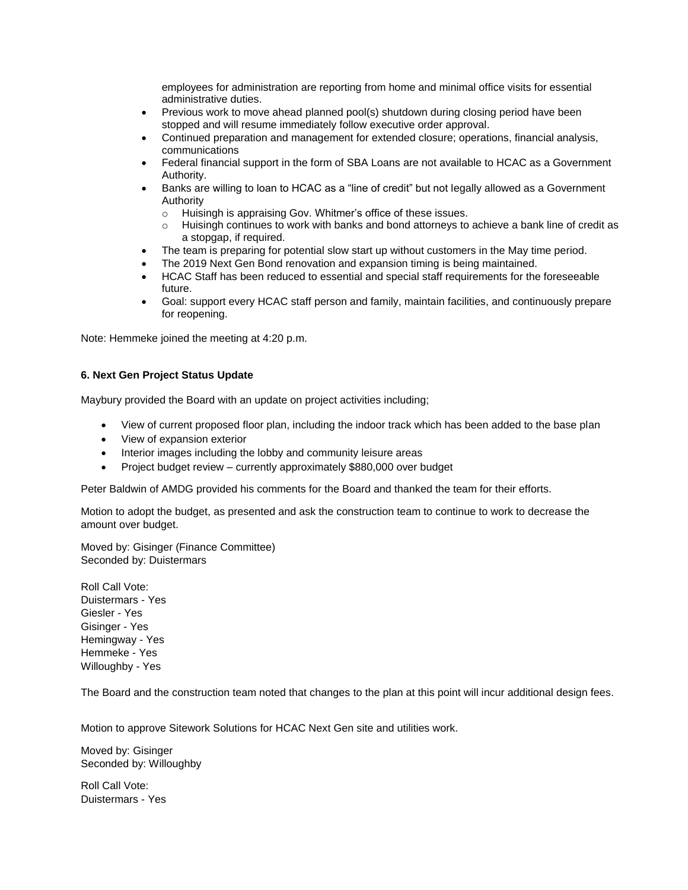employees for administration are reporting from home and minimal office visits for essential administrative duties.

- Previous work to move ahead planned pool(s) shutdown during closing period have been stopped and will resume immediately follow executive order approval.
- Continued preparation and management for extended closure; operations, financial analysis, communications
- Federal financial support in the form of SBA Loans are not available to HCAC as a Government Authority.
- Banks are willing to loan to HCAC as a "line of credit" but not legally allowed as a Government Authority
	- o Huisingh is appraising Gov. Whitmer's office of these issues.
	- $\circ$  Huisingh continues to work with banks and bond attorneys to achieve a bank line of credit as a stopgap, if required.
- The team is preparing for potential slow start up without customers in the May time period.
- The 2019 Next Gen Bond renovation and expansion timing is being maintained.
- HCAC Staff has been reduced to essential and special staff requirements for the foreseeable future.
- Goal: support every HCAC staff person and family, maintain facilities, and continuously prepare for reopening.

Note: Hemmeke joined the meeting at 4:20 p.m.

## **6. Next Gen Project Status Update**

Maybury provided the Board with an update on project activities including;

- View of current proposed floor plan, including the indoor track which has been added to the base plan
- View of expansion exterior
- Interior images including the lobby and community leisure areas
- Project budget review currently approximately \$880,000 over budget

Peter Baldwin of AMDG provided his comments for the Board and thanked the team for their efforts.

Motion to adopt the budget, as presented and ask the construction team to continue to work to decrease the amount over budget.

Moved by: Gisinger (Finance Committee) Seconded by: Duistermars

Roll Call Vote: Duistermars - Yes Giesler - Yes Gisinger - Yes Hemingway - Yes Hemmeke - Yes Willoughby - Yes

The Board and the construction team noted that changes to the plan at this point will incur additional design fees.

Motion to approve Sitework Solutions for HCAC Next Gen site and utilities work.

Moved by: Gisinger Seconded by: Willoughby

Roll Call Vote: Duistermars - Yes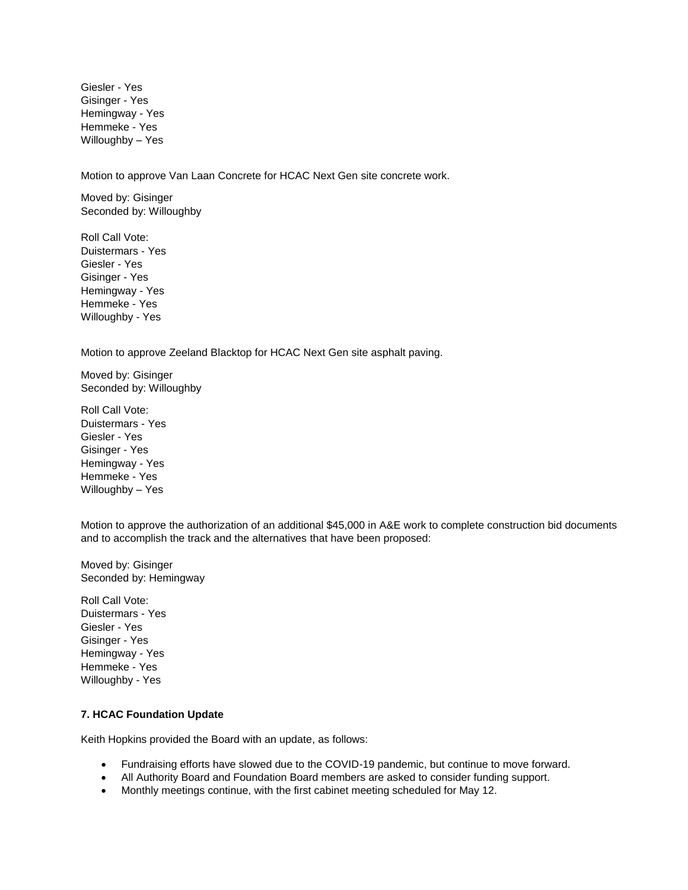Giesler - Yes Gisinger - Yes Hemingway - Yes Hemmeke - Yes Willoughby – Yes

Motion to approve Van Laan Concrete for HCAC Next Gen site concrete work.

Moved by: Gisinger Seconded by: Willoughby

Roll Call Vote: Duistermars - Yes Giesler - Yes Gisinger - Yes Hemingway - Yes Hemmeke - Yes Willoughby - Yes

Motion to approve Zeeland Blacktop for HCAC Next Gen site asphalt paving.

Moved by: Gisinger Seconded by: Willoughby

Roll Call Vote: Duistermars - Yes Giesler - Yes Gisinger - Yes Hemingway - Yes Hemmeke - Yes Willoughby – Yes

Motion to approve the authorization of an additional \$45,000 in A&E work to complete construction bid documents and to accomplish the track and the alternatives that have been proposed:

Moved by: Gisinger Seconded by: Hemingway

Roll Call Vote: Duistermars - Yes Giesler - Yes Gisinger - Yes Hemingway - Yes Hemmeke - Yes Willoughby - Yes

## **7. HCAC Foundation Update**

Keith Hopkins provided the Board with an update, as follows:

- Fundraising efforts have slowed due to the COVID-19 pandemic, but continue to move forward.
- All Authority Board and Foundation Board members are asked to consider funding support.
- Monthly meetings continue, with the first cabinet meeting scheduled for May 12.